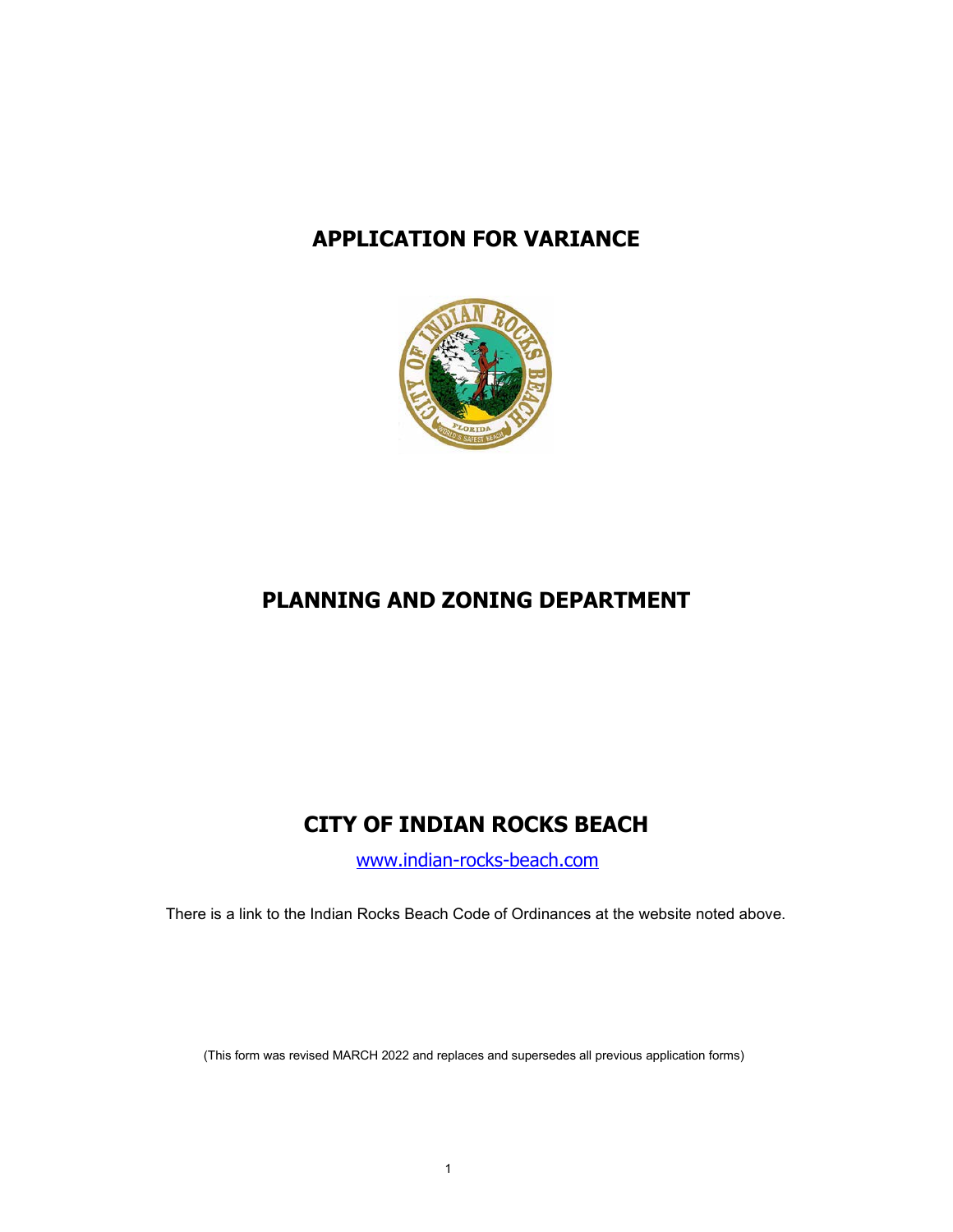# **APPLICATION FOR VARIANCE**



# **PLANNING AND ZONING DEPARTMENT**

# **CITY OF INDIAN ROCKS BEACH**

[www.indian-rocks-beach.com](http://www.indian-rocks-beach.com/)

There is a link to the Indian Rocks Beach Code of Ordinances at the website noted above.

(This form was revised MARCH 2022 and replaces and supersedes all previous application forms)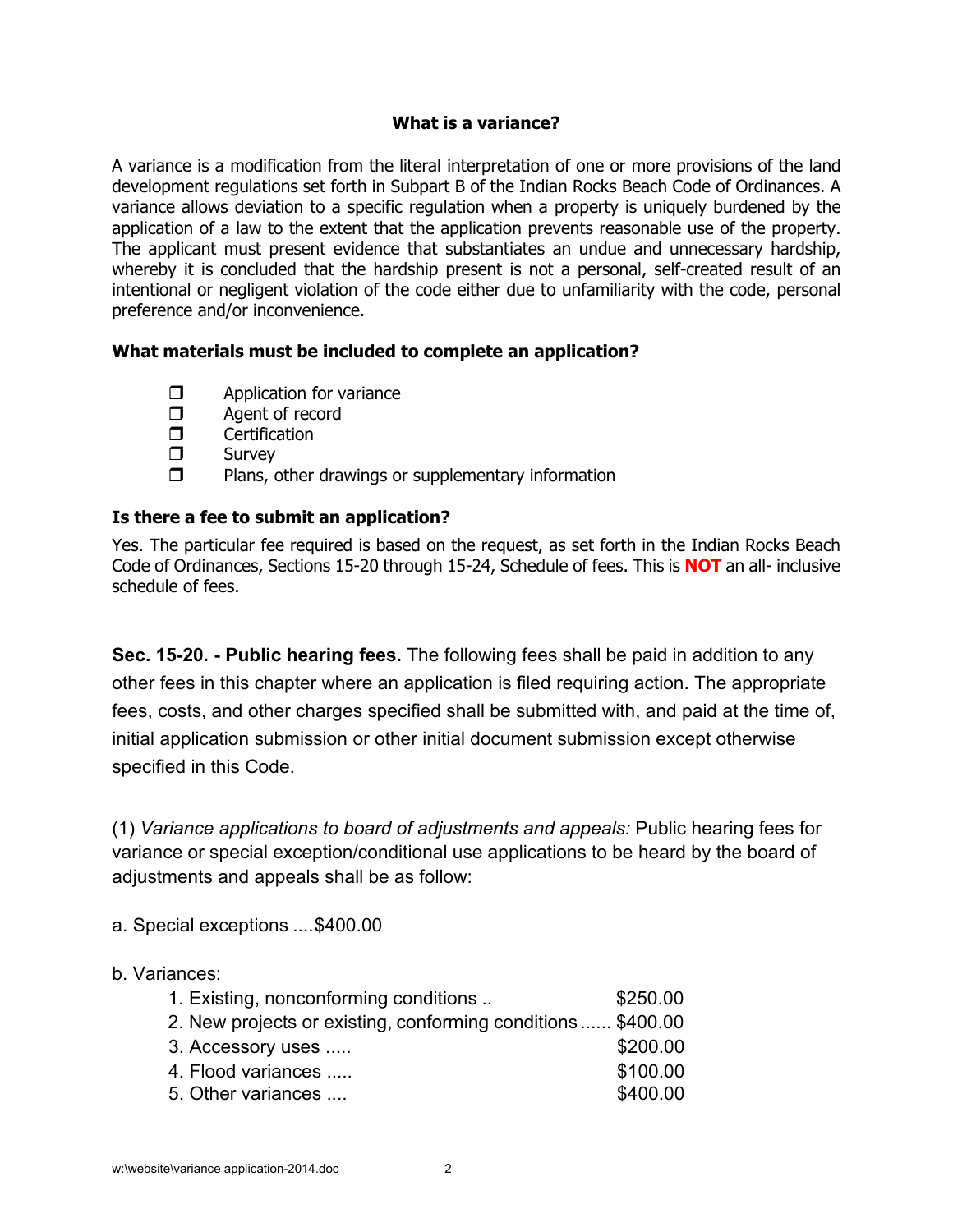## **What is a variance?**

A variance is a modification from the literal interpretation of one or more provisions of the land development regulations set forth in Subpart B of the Indian Rocks Beach Code of Ordinances. A variance allows deviation to a specific regulation when a property is uniquely burdened by the application of a law to the extent that the application prevents reasonable use of the property. The applicant must present evidence that substantiates an undue and unnecessary hardship, whereby it is concluded that the hardship present is not a personal, self-created result of an intentional or negligent violation of the code either due to unfamiliarity with the code, personal preference and/or inconvenience.

# **What materials must be included to complete an application?**

- $\Box$  Application for variance<br> $\Box$  Agent of record
- $\Box$  Agent of record<br> $\Box$  Certification
- □ Certification<br>□ Survey
- Survey
- $\Box$  Plans, other drawings or supplementary information

# **Is there a fee to submit an application?**

Yes. The particular fee required is based on the request, as set forth in the Indian Rocks Beach Code of Ordinances, Sections 15-20 through 15-24, Schedule of fees. This is **NOT** an all- inclusive schedule of fees.

**Sec. 15-20. - Public hearing fees.** The following fees shall be paid in addition to any other fees in this chapter where an application is filed requiring action. The appropriate fees, costs, and other charges specified shall be submitted with, and paid at the time of, initial application submission or other initial document submission except otherwise specified in this Code.

(1) *Variance applications to board of adjustments and appeals:* Public hearing fees for variance or special exception/conditional use applications to be heard by the board of adjustments and appeals shall be as follow:

a. Special exceptions ....\$400.00

#### b. Variances:

| 1. Existing, nonconforming conditions                        | \$250.00 |
|--------------------------------------------------------------|----------|
| 2. New projects or existing, conforming conditions  \$400.00 |          |
| 3. Accessory uses                                            | \$200.00 |
| 4. Flood variances                                           | \$100.00 |
| 5. Other variances                                           | \$400.00 |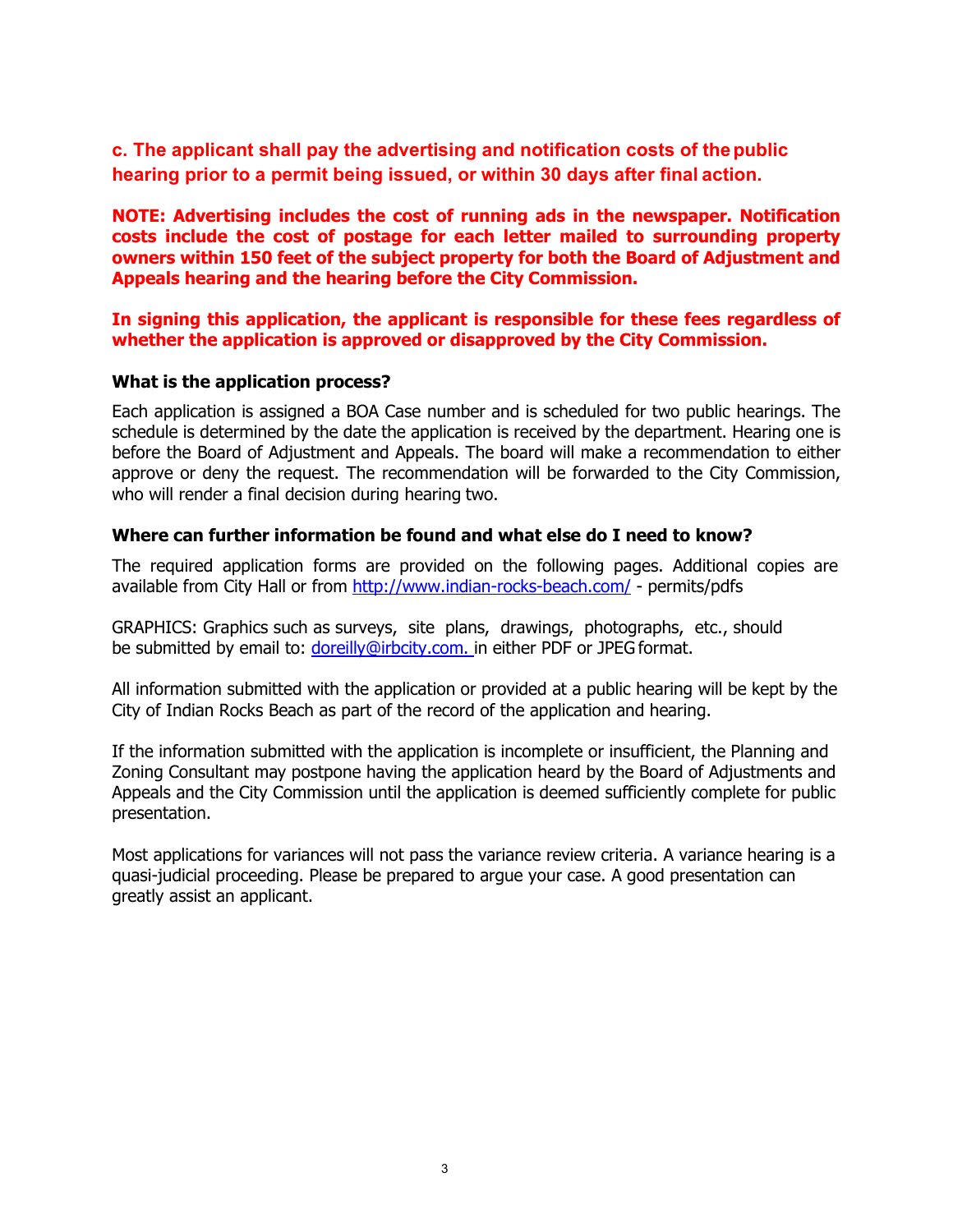**c. The applicant shall pay the advertising and notification costs of thepublic hearing prior to a permit being issued, or within 30 days after final action.**

**NOTE: Advertising includes the cost of running ads in the newspaper. Notification costs include the cost of postage for each letter mailed to surrounding property owners within 150 feet of the subject property for both the Board of Adjustment and Appeals hearing and the hearing before the City Commission.**

**In signing this application, the applicant is responsible for these fees regardless of whether the application is approved or disapproved by the City Commission.**

#### **What is the application process?**

Each application is assigned a BOA Case number and is scheduled for two public hearings. The schedule is determined by the date the application is received by the department. Hearing one is before the Board of Adjustment and Appeals. The board will make a recommendation to either approve or deny the request. The recommendation will be forwarded to the City Commission, who will render a final decision during hearing two.

#### **Where can further information be found and what else do I need to know?**

The required application forms are provided on the following pages. Additional copies are available from City Hall or from<http://www.indian-rocks-beach.com/> - [permits/pdfs](http://www.indian-rocks-beach.com/)

GRAPHICS: Graphics such as surveys, site plans, drawings, photographs, etc., should be submitted by email to: [doreilly@irbcity.com. i](mailto:doreilly@irbcity.com.)n either PDF or JPEG format.

All information submitted with the application or provided at a public hearing will be kept by the City of Indian Rocks Beach as part of the record of the application and hearing.

If the information submitted with the application is incomplete or insufficient, the Planning and Zoning Consultant may postpone having the application heard by the Board of Adjustments and Appeals and the City Commission until the application is deemed sufficiently complete for public presentation.

Most applications for variances will not pass the variance review criteria. A variance hearing is a quasi-judicial proceeding. Please be prepared to argue your case. A good presentation can greatly assist an applicant.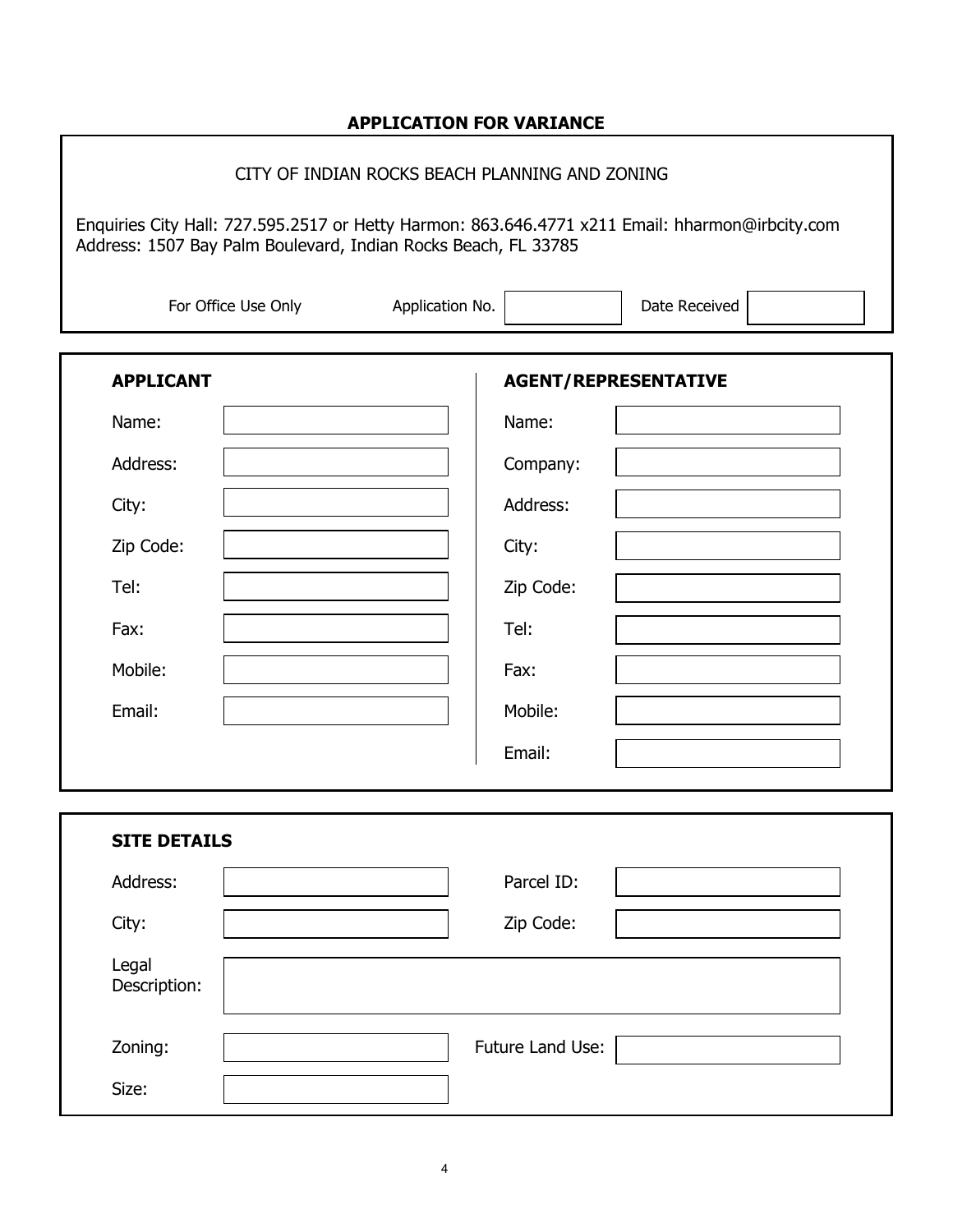# **APPLICATION FOR VARIANCE**

# CITY OF INDIAN ROCKS BEACH PLANNING AND ZONING

Enquiries City Hall: 727.595.2517 or Hetty Harmon: 863.646.4771 x211 Email: [hharmon@irbcity.com](mailto:hharmon@irbcity.com) Address: 1507 Bay Palm Boulevard, Indian Rocks Beach, FL 33785

| For Office Use Only   | Application No.             | Date Received |
|-----------------------|-----------------------------|---------------|
| <b>APPLICANT</b>      | <b>AGENT/REPRESENTATIVE</b> |               |
| Name:                 | Name:                       |               |
| Address:              | Company:                    |               |
| City:                 | Address:                    |               |
| Zip Code:             | City:                       |               |
| Tel:                  | Zip Code:                   |               |
| Fax:                  | Tel:                        |               |
| Mobile:               | Fax:                        |               |
| Email:                | Mobile:                     |               |
|                       | Email:                      |               |
| <b>SITE DETAILS</b>   |                             |               |
| Address:              | Parcel ID:                  |               |
| City:                 | Zip Code:                   |               |
| Legal<br>Description: |                             |               |
| Zoning:               | Future Land Use:            |               |
| Size:                 |                             |               |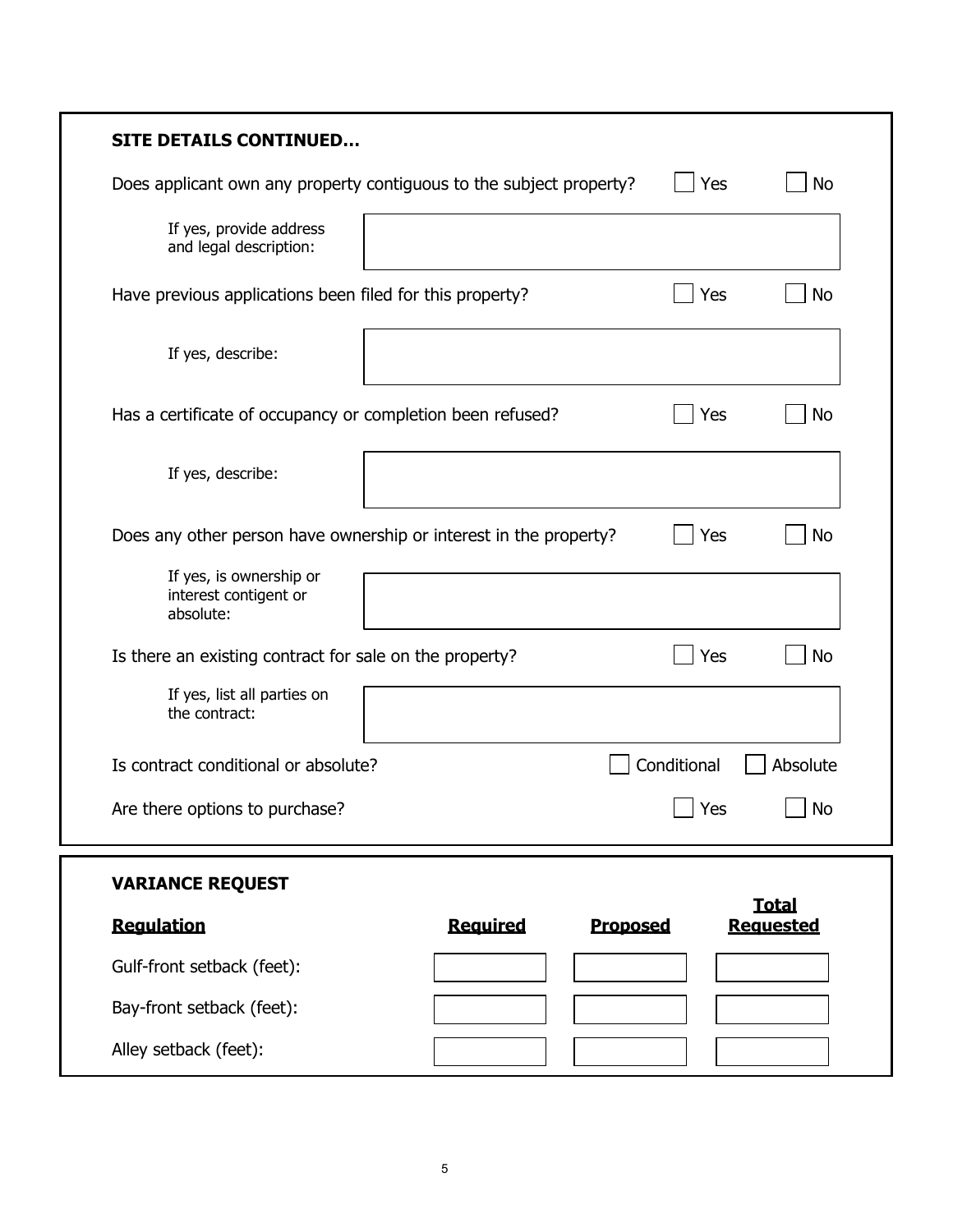| <b>SITE DETAILS CONTINUED</b>                                       |                 |                 |                                  |
|---------------------------------------------------------------------|-----------------|-----------------|----------------------------------|
| Does applicant own any property contiguous to the subject property? |                 | Yes             | <b>No</b>                        |
| If yes, provide address<br>and legal description:                   |                 |                 |                                  |
| Have previous applications been filed for this property?            |                 | Yes             | <b>No</b>                        |
| If yes, describe:                                                   |                 |                 |                                  |
| Has a certificate of occupancy or completion been refused?          |                 | Yes             | No                               |
| If yes, describe:                                                   |                 |                 |                                  |
| Does any other person have ownership or interest in the property?   |                 | Yes             | <b>No</b>                        |
| If yes, is ownership or<br>interest contigent or<br>absolute:       |                 |                 |                                  |
| Is there an existing contract for sale on the property?             |                 | Yes             | No                               |
| If yes, list all parties on<br>the contract:                        |                 |                 |                                  |
| Is contract conditional or absolute?                                |                 | Conditional     | Absolute                         |
| Are there options to purchase?                                      |                 | $\vert$ Yes     | $\bigsqcup$ No                   |
| <b>VARIANCE REQUEST</b>                                             |                 |                 |                                  |
| <b>Regulation</b>                                                   | <b>Required</b> | <b>Proposed</b> | <b>Total</b><br><b>Requested</b> |
| Gulf-front setback (feet):                                          |                 |                 |                                  |
| Bay-front setback (feet):                                           |                 |                 |                                  |
| Alley setback (feet):                                               |                 |                 |                                  |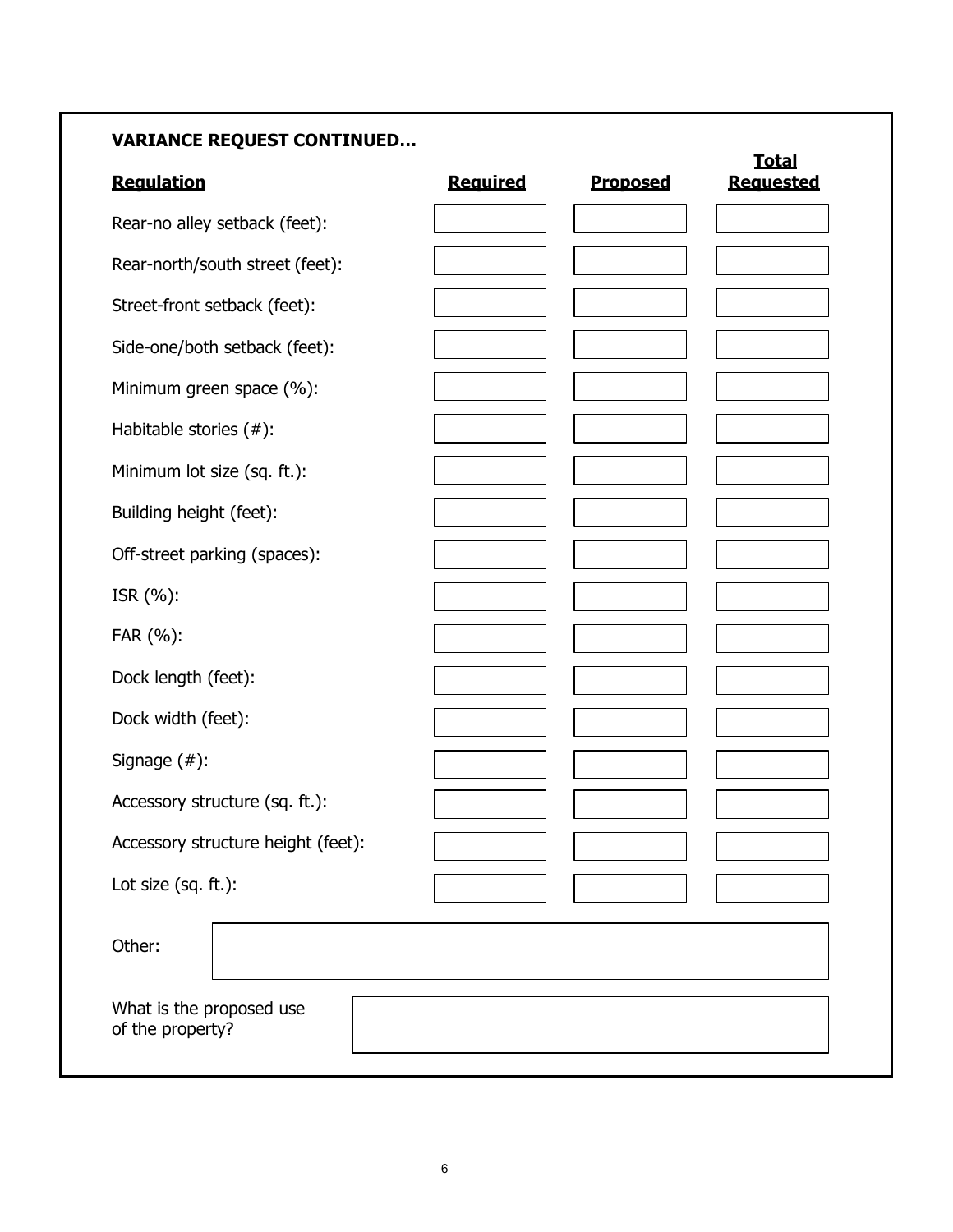# **VARIANCE REQUEST CONTINUED…**

| <b>Regulation</b>                            | <b>Required</b> | <b>Proposed</b> | <b>Total</b><br><b>Requested</b> |
|----------------------------------------------|-----------------|-----------------|----------------------------------|
| Rear-no alley setback (feet):                |                 |                 |                                  |
| Rear-north/south street (feet):              |                 |                 |                                  |
| Street-front setback (feet):                 |                 |                 |                                  |
| Side-one/both setback (feet):                |                 |                 |                                  |
| Minimum green space (%):                     |                 |                 |                                  |
| Habitable stories (#):                       |                 |                 |                                  |
| Minimum lot size (sq. ft.):                  |                 |                 |                                  |
| Building height (feet):                      |                 |                 |                                  |
| Off-street parking (spaces):                 |                 |                 |                                  |
| ISR (%):                                     |                 |                 |                                  |
| FAR (%):                                     |                 |                 |                                  |
| Dock length (feet):                          |                 |                 |                                  |
| Dock width (feet):                           |                 |                 |                                  |
| Signage $($ # $)$ :                          |                 |                 |                                  |
| Accessory structure (sq. ft.):               |                 |                 |                                  |
| Accessory structure height (feet):           |                 |                 |                                  |
| Lot size (sq. ft.):                          |                 |                 |                                  |
| Other:                                       |                 |                 |                                  |
| What is the proposed use<br>of the property? |                 |                 |                                  |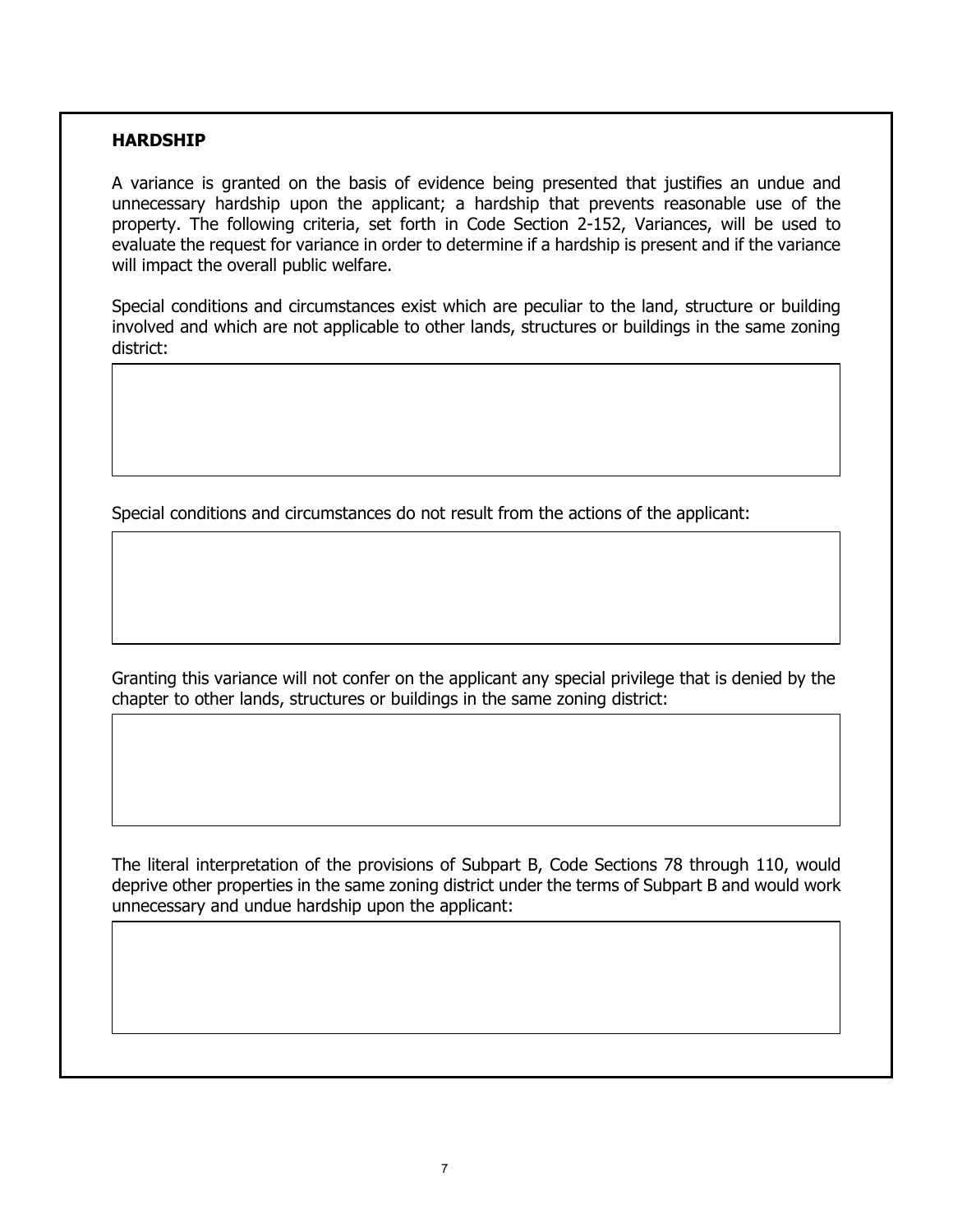### **HARDSHIP**

A variance is granted on the basis of evidence being presented that justifies an undue and unnecessary hardship upon the applicant; a hardship that prevents reasonable use of the property. The following criteria, set forth in Code Section 2-152, Variances, will be used to evaluate the request for variance in order to determine if a hardship is present and if the variance will impact the overall public welfare.

Special conditions and circumstances exist which are peculiar to the land, structure or building involved and which are not applicable to other lands, structures or buildings in the same zoning district:

Special conditions and circumstances do not result from the actions of the applicant:

Granting this variance will not confer on the applicant any special privilege that is denied by the chapter to other lands, structures or buildings in the same zoning district:

The literal interpretation of the provisions of Subpart B, Code Sections 78 through 110, would deprive other properties in the same zoning district under the terms of Subpart B and would work unnecessary and undue hardship upon the applicant: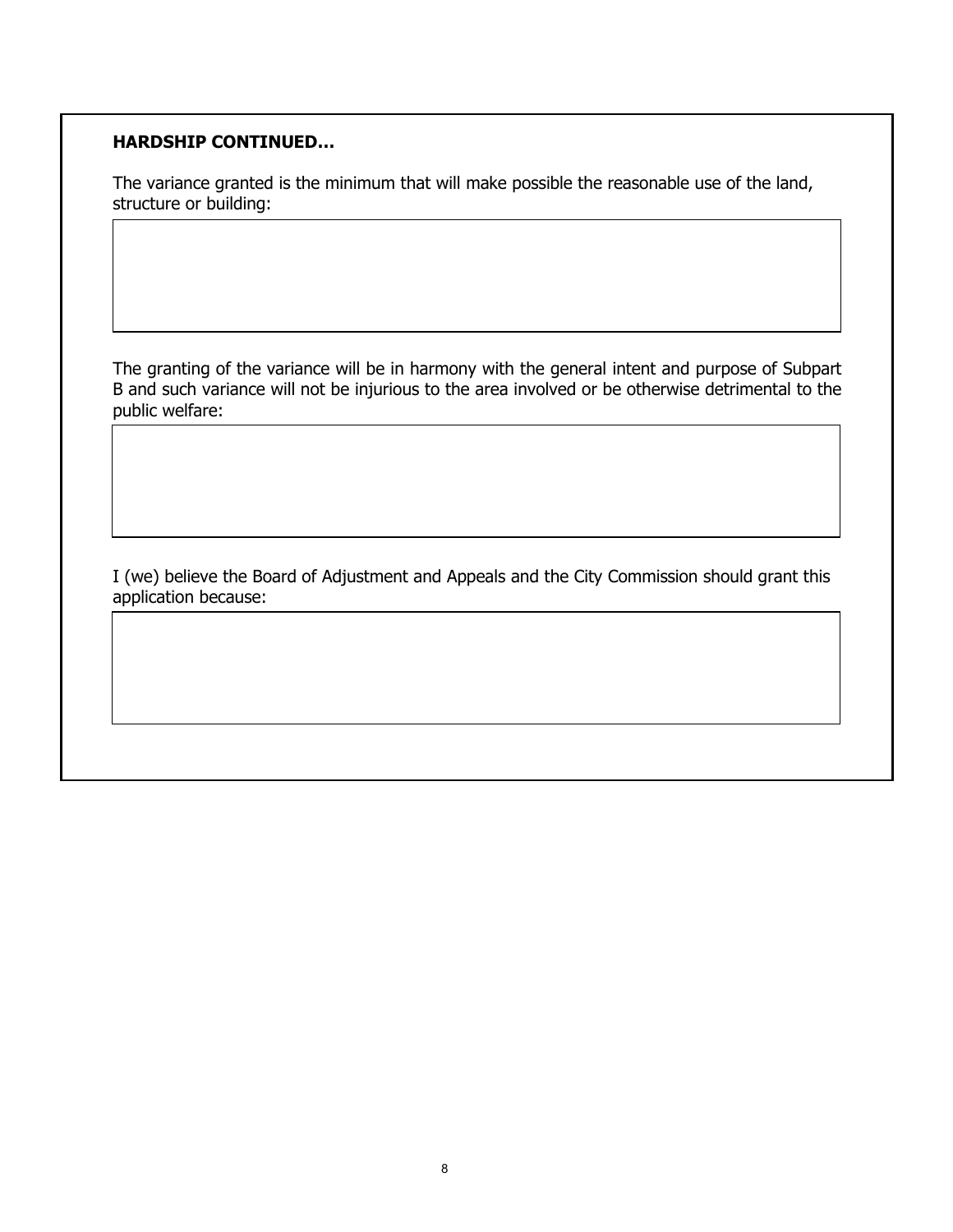# **HARDSHIP CONTINUED…**

The variance granted is the minimum that will make possible the reasonable use of the land, structure or building:

The granting of the variance will be in harmony with the general intent and purpose of Subpart B and such variance will not be injurious to the area involved or be otherwise detrimental to the public welfare:

I (we) believe the Board of Adjustment and Appeals and the City Commission should grant this application because: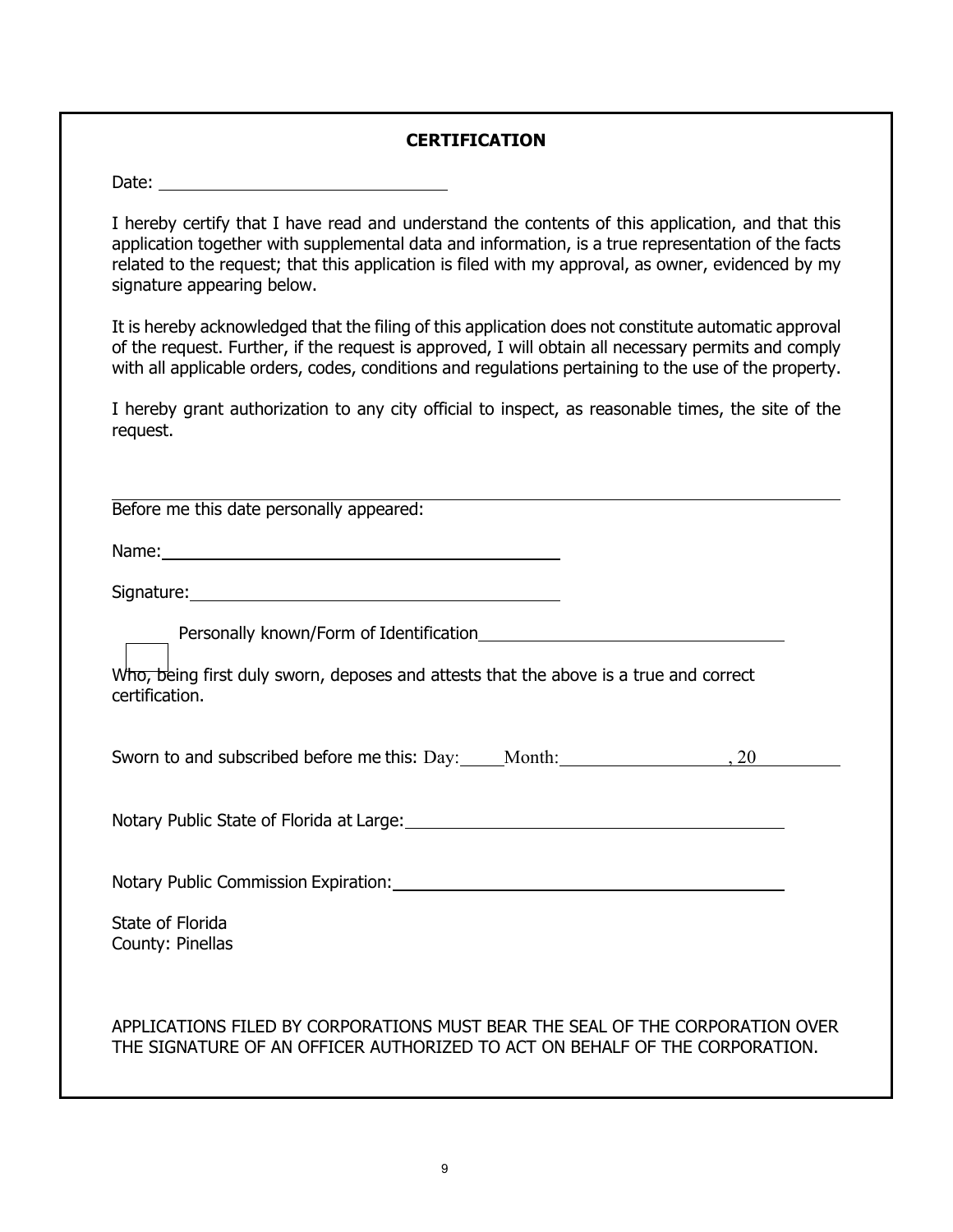# **CERTIFICATION**

Date: <u>\_\_\_\_\_\_\_\_\_\_\_\_\_\_\_</u>

I hereby certify that I have read and understand the contents of this application, and that this application together with supplemental data and information, is a true representation of the facts related to the request; that this application is filed with my approval, as owner, evidenced by my signature appearing below.

It is hereby acknowledged that the filing of this application does not constitute automatic approval of the request. Further, if the request is approved, I will obtain all necessary permits and comply with all applicable orders, codes, conditions and regulations pertaining to the use of the property.

I hereby grant authorization to any city official to inspect, as reasonable times, the site of the request.

| Before me this date personally appeared:                                                                                                                     |
|--------------------------------------------------------------------------------------------------------------------------------------------------------------|
|                                                                                                                                                              |
|                                                                                                                                                              |
|                                                                                                                                                              |
| Who, being first duly sworn, deposes and attests that the above is a true and correct<br>certification.                                                      |
|                                                                                                                                                              |
|                                                                                                                                                              |
| Notary Public Commission Expiration: Manual According Public Commission Expiration:                                                                          |
| State of Florida<br>County: Pinellas                                                                                                                         |
| APPLICATIONS FILED BY CORPORATIONS MUST BEAR THE SEAL OF THE CORPORATION OVER<br>THE SIGNATURE OF AN OFFICER AUTHORIZED TO ACT ON BEHALF OF THE CORPORATION. |